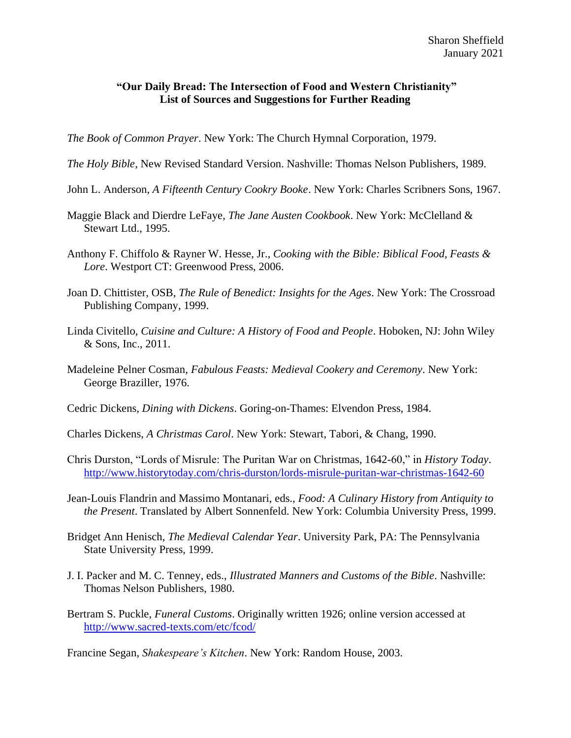## **"Our Daily Bread: The Intersection of Food and Western Christianity" List of Sources and Suggestions for Further Reading**

*The Book of Common Prayer*. New York: The Church Hymnal Corporation, 1979.

- *The Holy Bible*, New Revised Standard Version. Nashville: Thomas Nelson Publishers, 1989.
- John L. Anderson, *A Fifteenth Century Cookry Booke*. New York: Charles Scribners Sons, 1967.
- Maggie Black and Dierdre LeFaye, *The Jane Austen Cookbook*. New York: McClelland & Stewart Ltd., 1995.
- Anthony F. Chiffolo & Rayner W. Hesse, Jr., *Cooking with the Bible: Biblical Food, Feasts & Lore*. Westport CT: Greenwood Press, 2006.
- Joan D. Chittister, OSB, *The Rule of Benedict: Insights for the Ages*. New York: The Crossroad Publishing Company, 1999.
- Linda Civitello, *Cuisine and Culture: A History of Food and People*. Hoboken, NJ: John Wiley & Sons, Inc., 2011.
- Madeleine Pelner Cosman, *Fabulous Feasts: Medieval Cookery and Ceremony*. New York: George Braziller, 1976.
- Cedric Dickens, *Dining with Dickens*. Goring-on-Thames: Elvendon Press, 1984.
- Charles Dickens, *A Christmas Carol*. New York: Stewart, Tabori, & Chang, 1990.
- Chris Durston, "Lords of Misrule: The Puritan War on Christmas, 1642-60," in *History Today*. <http://www.historytoday.com/chris-durston/lords-misrule-puritan-war-christmas-1642-60>
- Jean-Louis Flandrin and Massimo Montanari, eds., *Food: A Culinary History from Antiquity to the Present*. Translated by Albert Sonnenfeld. New York: Columbia University Press, 1999.
- Bridget Ann Henisch, *The Medieval Calendar Year*. University Park, PA: The Pennsylvania State University Press, 1999.
- J. I. Packer and M. C. Tenney, eds., *Illustrated Manners and Customs of the Bible*. Nashville: Thomas Nelson Publishers, 1980.
- Bertram S. Puckle, *Funeral Customs*. Originally written 1926; online version accessed at <http://www.sacred-texts.com/etc/fcod/>

Francine Segan, *Shakespeare's Kitchen*. New York: Random House, 2003.